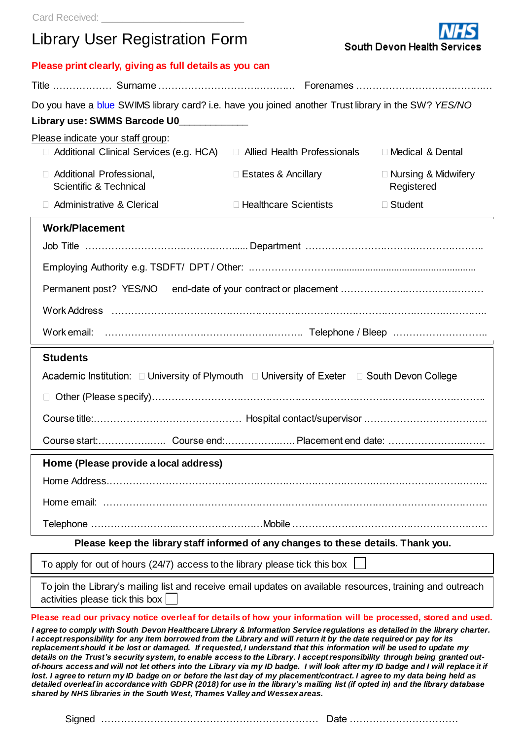# Library User Registration Form

**Please print clearly, giving as full details as you can** 

| Do you have a blue SWIMS library card? i.e. have you joined another Trust library in the SW? YES/NO                                                                                                                                                                                                                                                                                                                                                                                                                                                                                                                                             |                               |                                          |
|-------------------------------------------------------------------------------------------------------------------------------------------------------------------------------------------------------------------------------------------------------------------------------------------------------------------------------------------------------------------------------------------------------------------------------------------------------------------------------------------------------------------------------------------------------------------------------------------------------------------------------------------------|-------------------------------|------------------------------------------|
| Library use: SWIMS Barcode U0____________                                                                                                                                                                                                                                                                                                                                                                                                                                                                                                                                                                                                       |                               |                                          |
| Please indicate your staff group:                                                                                                                                                                                                                                                                                                                                                                                                                                                                                                                                                                                                               |                               |                                          |
| □ Additional Clinical Services (e.g. HCA)                                                                                                                                                                                                                                                                                                                                                                                                                                                                                                                                                                                                       | □ Allied Health Professionals | □ Medical & Dental                       |
| Additional Professional,<br>$\Box$<br>Scientific & Technical                                                                                                                                                                                                                                                                                                                                                                                                                                                                                                                                                                                    | $\Box$ Estates & Ancillary    | $\Box$ Nursing & Midwifery<br>Registered |
| <b>Administrative &amp; Clerical</b>                                                                                                                                                                                                                                                                                                                                                                                                                                                                                                                                                                                                            | $\Box$ Healthcare Scientists  | □ Student                                |
| <b>Work/Placement</b>                                                                                                                                                                                                                                                                                                                                                                                                                                                                                                                                                                                                                           |                               |                                          |
|                                                                                                                                                                                                                                                                                                                                                                                                                                                                                                                                                                                                                                                 |                               |                                          |
|                                                                                                                                                                                                                                                                                                                                                                                                                                                                                                                                                                                                                                                 |                               |                                          |
|                                                                                                                                                                                                                                                                                                                                                                                                                                                                                                                                                                                                                                                 |                               |                                          |
|                                                                                                                                                                                                                                                                                                                                                                                                                                                                                                                                                                                                                                                 |                               |                                          |
|                                                                                                                                                                                                                                                                                                                                                                                                                                                                                                                                                                                                                                                 |                               |                                          |
| <b>Students</b>                                                                                                                                                                                                                                                                                                                                                                                                                                                                                                                                                                                                                                 |                               |                                          |
| Academic Institution: □ University of Plymouth □ University of Exeter □ South Devon College                                                                                                                                                                                                                                                                                                                                                                                                                                                                                                                                                     |                               |                                          |
|                                                                                                                                                                                                                                                                                                                                                                                                                                                                                                                                                                                                                                                 |                               |                                          |
|                                                                                                                                                                                                                                                                                                                                                                                                                                                                                                                                                                                                                                                 |                               |                                          |
|                                                                                                                                                                                                                                                                                                                                                                                                                                                                                                                                                                                                                                                 |                               |                                          |
| Home (Please provide a local address)                                                                                                                                                                                                                                                                                                                                                                                                                                                                                                                                                                                                           |                               |                                          |
|                                                                                                                                                                                                                                                                                                                                                                                                                                                                                                                                                                                                                                                 |                               |                                          |
|                                                                                                                                                                                                                                                                                                                                                                                                                                                                                                                                                                                                                                                 |                               |                                          |
|                                                                                                                                                                                                                                                                                                                                                                                                                                                                                                                                                                                                                                                 |                               |                                          |
| Please keep the library staff informed of any changes to these details. Thank you.                                                                                                                                                                                                                                                                                                                                                                                                                                                                                                                                                              |                               |                                          |
| To apply for out of hours (24/7) access to the library please tick this box                                                                                                                                                                                                                                                                                                                                                                                                                                                                                                                                                                     |                               |                                          |
| To join the Library's mailing list and receive email updates on available resources, training and outreach<br>activities please tick this box                                                                                                                                                                                                                                                                                                                                                                                                                                                                                                   |                               |                                          |
| Please read our privacy notice overleaf for details of how your information will be processed, stored and used.                                                                                                                                                                                                                                                                                                                                                                                                                                                                                                                                 |                               |                                          |
| I agree to comply with South Devon Healthcare Library & Information Service regulations as detailed in the library charter.<br>I accept responsibility for any item borrowed from the Library and will return it by the date required or pay for its<br>replacement should it be lost or damaged. If requested, I understand that this information will be used to update my<br>details on the Trust's security system, to enable access to the Library. I accept responsibility through being granted out-<br>of-hours access and will not let others into the Library via my ID badge. I will look after my ID badge and I will replace it if |                               |                                          |

South Devon Health Serv

*lost. I agree to return my ID badge on or before the last day of my placement/contract. I agree to my data being held as detailed overleaf in accordance with GDPR (2018) for use in the library's mailing list (if opted in) and the library database shared by NHS libraries in the South West, Thames Valley and Wessex areas.*

Signed ………………………………………………………… Date ……………………………